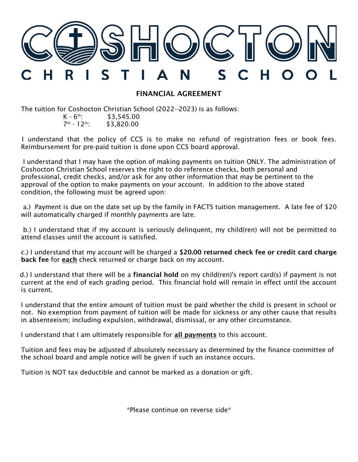

## FINANCIAL AGREEMENT

The tuition for Coshocton Christian School (2022--2023) is as follows:  $K - 6$ <sup>th</sup>: \$3.545.00

7 th \$3,820.00

 I understand that the policy of CCS is to make no refund of registration fees or book fees. Reimbursement for pre-paid tuition is done upon CCS board approval.

I understand that I may have the option of making payments on tuition ONLY. The administration of Coshocton Christian School reserves the right to do reference checks, both personal and professional, credit checks, and/or ask for any other information that may be pertinent to the approval of the option to make payments on your account. In addition to the above stated condition, the following must be agreed upon:

 a.) Payment is due on the date set up by the family in FACTS tuition management. A late fee of \$20 will automatically charged if monthly payments are late.

 b.) I understand that if my account is seriously delinquent, my child(ren) will not be permitted to attend classes until the account is satisfied.

 c.) I understand that my account will be charged a \$20.00 returned check fee or credit card charge back fee for **each** check returned or charge back on my account.

d.) I understand that there will be a **financial hold** on my child(ren)'s report card(s) if payment is not current at the end of each grading period. This financial hold will remain in effect until the account is current.

I understand that the entire amount of tuition must be paid whether the child is present in school or not. No exemption from payment of tuition will be made for sickness or any other cause that results in absenteeism; including expulsion, withdrawal, dismissal, or any other circumstance.

I understand that I am ultimately responsible for all payments to this account.

Tuition and fees may be adjusted if absolutely necessary as determined by the finance committee of the school board and ample notice will be given if such an instance occurs.

Tuition is NOT tax deductible and cannot be marked as a donation or gift.

\*Please continue on reverse side\*